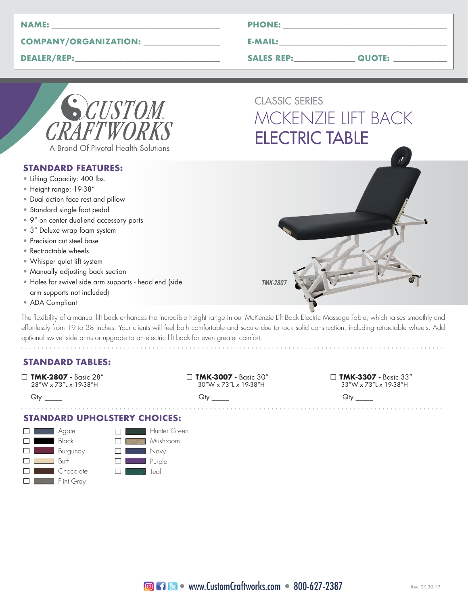| <b>NAME</b><br>-- |  |
|-------------------|--|
|                   |  |

## **COMPANY/ORGANIZATION: \_\_\_\_\_\_\_\_\_\_\_\_\_\_\_\_\_\_\_\_**

**DEALER/REP:\_\_\_\_\_\_\_\_\_\_\_\_\_\_\_\_\_\_\_\_\_\_\_\_\_\_\_\_\_\_\_\_\_\_\_\_\_\_**

| <b>PHONE:</b> |  |
|---------------|--|
|               |  |

**E-MAIL:\_\_\_\_\_\_\_\_\_\_\_\_\_\_\_\_\_\_\_\_\_\_\_\_\_\_\_\_\_\_\_\_\_\_\_\_\_\_\_\_\_\_\_\_**

**SALES REP:\_\_\_\_\_\_\_\_\_\_\_\_\_\_\_\_ QUOTE: \_\_\_\_\_\_\_\_\_\_\_\_\_\_**

| CUSTOM                              |
|-------------------------------------|
| CRAFTWORKS                          |
| A Brand Of Pivotal Health Solutions |

#### **STANDARD FEATURES:**

- Lifting Capacity: 400 lbs.
- Height range: 19-38"
- Dual action face rest and pillow
- Standard single foot pedal
- 9" on center dual-end accessory ports
- 3" Deluxe wrap foam system
- Precision cut steel base
- Rectractable wheels
- Whisper quiet lift system
- Manually adjusting back section
- Holes for swivel side arm supports head end (side arm supports not included)
- ADA Compliant

The flexibility of a manual lift back enhances the incredible height range in our McKenzie Lift Back Electric Massage Table, which raises smoothly and effortlessly from 19 to 38 inches. Your clients will feel both comfortable and secure due to rock solid construction, including retractable wheels. Add optional swivel side arms or upgrade to an electric lift back for even greater comfort. 

# **STANDARD TABLES:**

□ **TMK-2807 -** Basic 28" □ **TMK-3007 -** Basic 30" □ **TMK-3307 -** Basic 33" 28"W x 73"L x 19-38"H

 $Q$ ty  $Q$ ty  $Q$ ty  $Q$ ty  $Q$ ty  $Q$ ty  $Q$ ty  $Q$ 

. . . . . . . . . . . . . . . . . . .

#### **STANDARD UPHOLSTERY CHOICES:**





CLASSIC SERIES MCKENZIE LIFT BACK ELECTRIC TABLE

TMK-2807

. . . . . . . . . . . . . . . .